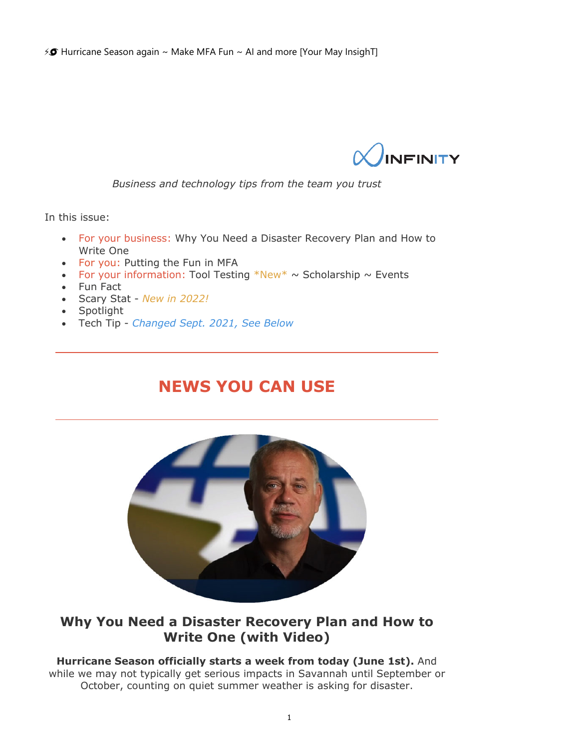$\frac{1}{2}$  Hurricane Season again ~ Make MFA Fun ~ AI and more [Your May InsighT]



*Business and technology tips from the team you trust*

In this issue:

- For your business: Why You Need a Disaster Recovery Plan and How to Write One
- For you: Putting the Fun in MFA
- For your information: Tool Testing  $*New* \sim$  Scholarship  $\sim$  Events
- Fun Fact
- Scary Stat *New in 2022!*
- Spotlight
- Tech Tip *Changed Sept. 2021, See Below*

## **NEWS YOU CAN USE**



### **Why You Need a Disaster Recovery Plan and How to Write One (with Video)**

#### **Hurricane Season officially starts a week from today (June 1st).** And

while we may not typically get serious impacts in Savannah until September or October, counting on quiet summer weather is asking for disaster.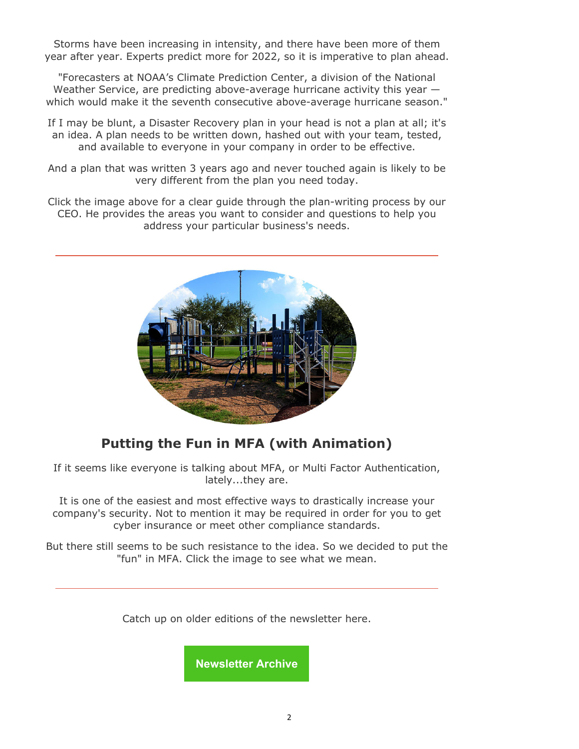Storms have been increasing in intensity, and there have been more of them year after year. Experts predict more for 2022, so it is imperative to plan ahead.

"Forecasters at NOAA's Climate Prediction Center, a division of the National Weather Service, are predicting above-average hurricane activity this year which would make it the seventh consecutive above-average hurricane season."

If I may be blunt, a Disaster Recovery plan in your head is not a plan at all; it's an idea. A plan needs to be written down, hashed out with your team, tested, and available to everyone in your company in order to be effective.

And a plan that was written 3 years ago and never touched again is likely to be very different from the plan you need today.

Click the image above for a clear guide through the plan-writing process by our CEO. He provides the areas you want to consider and questions to help you address your particular business's needs.



## **Putting the Fun in MFA (with Animation)**

If it seems like everyone is talking about MFA, or Multi Factor Authentication, lately...they are.

It is one of the easiest and most effective ways to drastically increase your company's security. Not to mention it may be required in order for you to get cyber insurance or meet other compliance standards.

But there still seems to be such resistance to the idea. So we decided to put the "fun" in MFA. Click the image to see what we mean.

Catch up on older editions of the newsletter here.

**Newsletter Archive**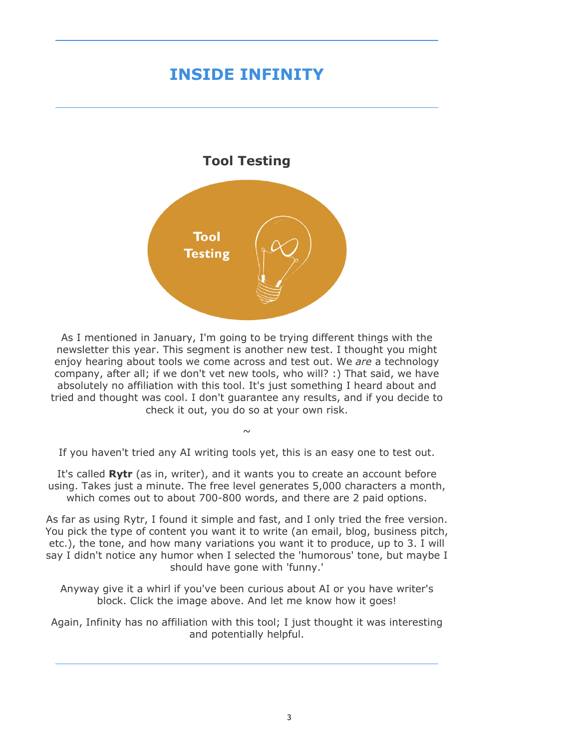# **INSIDE INFINITY**

# **Tool Testing**  Tool Testing

As I mentioned in January, I'm going to be trying different things with the newsletter this year. This segment is another new test. I thought you might enjoy hearing about tools we come across and test out. We *are* a technology company, after all; if we don't vet new tools, who will? :) That said, we have absolutely no affiliation with this tool. It's just something I heard about and tried and thought was cool. I don't guarantee any results, and if you decide to check it out, you do so at your own risk.

If you haven't tried any AI writing tools yet, this is an easy one to test out.

 $\sim$ 

It's called **Rytr** (as in, writer), and it wants you to create an account before using. Takes just a minute. The free level generates 5,000 characters a month, which comes out to about 700-800 words, and there are 2 paid options.

As far as using Rytr, I found it simple and fast, and I only tried the free version. You pick the type of content you want it to write (an email, blog, business pitch, etc.), the tone, and how many variations you want it to produce, up to 3. I will say I didn't notice any humor when I selected the 'humorous' tone, but maybe I should have gone with 'funny.'

Anyway give it a whirl if you've been curious about AI or you have writer's block. Click the image above. And let me know how it goes!

Again, Infinity has no affiliation with this tool; I just thought it was interesting and potentially helpful.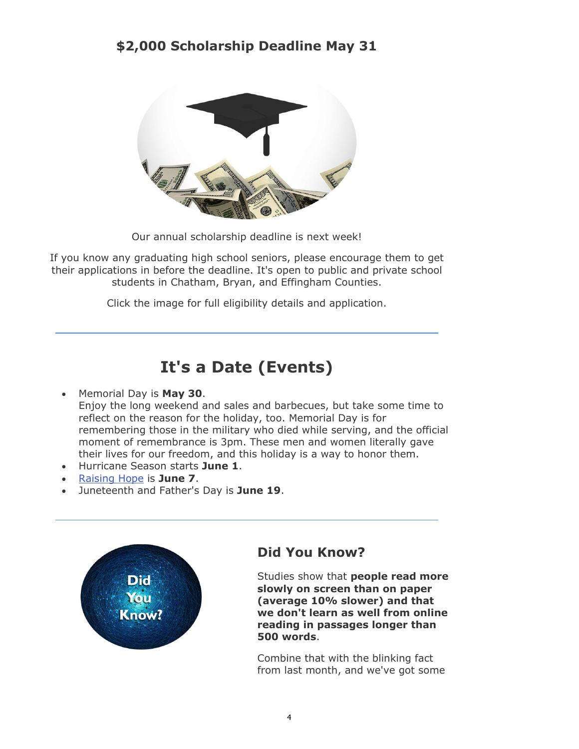## **\$2,000 Scholarship Deadline May 31**



Our annual scholarship deadline is next week!

If you know any graduating high school seniors, please encourage them to get their applications in before the deadline. It's open to public and private school students in Chatham, Bryan, and Effingham Counties.

Click the image for full eligibility details and application.

# **It's a Date (Events)**

#### Memorial Day is **May 30**.

Enjoy the long weekend and sales and barbecues, but take some time to reflect on the reason for the holiday, too. Memorial Day is for remembering those in the military who died while serving, and the official moment of remembrance is 3pm. These men and women literally gave their lives for our freedom, and this holiday is a way to honor them.

- Hurricane Season starts **June 1**.
- Raising Hope is **June 7**.
- Juneteenth and Father's Day is **June 19**.



## **Did You Know?**

Studies show that **people read more slowly on screen than on paper (average 10% slower) and that we don't learn as well from online reading in passages longer than 500 words**.

Combine that with the blinking fact from last month, and we've got some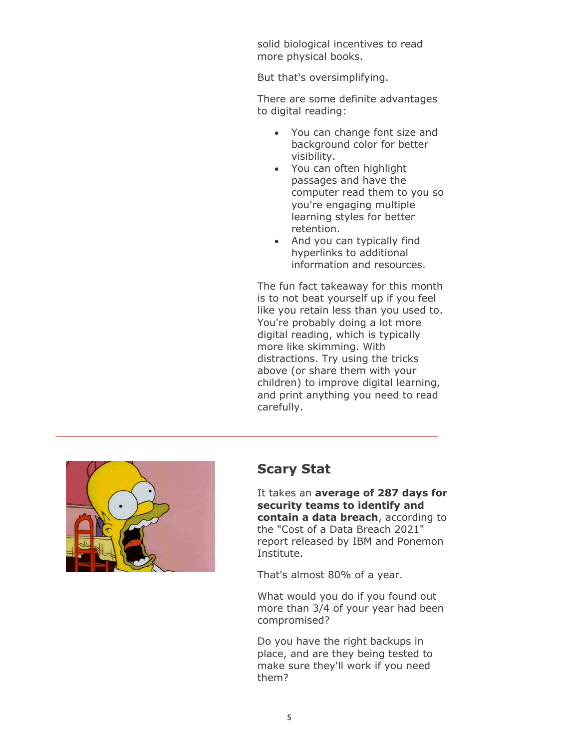solid biological incentives to read more physical books.

But that's oversimplifying.

There are some definite advantages to digital reading:

- You can change font size and background color for better visibility.
- You can often highlight passages and have the computer read them to you so you're engaging multiple learning styles for better retention.
- And you can typically find hyperlinks to additional information and resources.

The fun fact takeaway for this month is to not beat yourself up if you feel like you retain less than you used to. You're probably doing a lot more digital reading, which is typically more like skimming. With distractions. Try using the tricks above (or share them with your children) to improve digital learning, and print anything you need to read carefully.



#### **Scary Stat**

It takes an **average of 287 days for security teams to identify and contain a data breach**, according to the "Cost of a Data Breach 2021" report released by IBM and Ponemon Institute.

That's almost 80% of a year.

What would you do if you found out more than 3/4 of your year had been compromised?

Do you have the right backups in place, and are they being tested to make sure they'll work if you need them?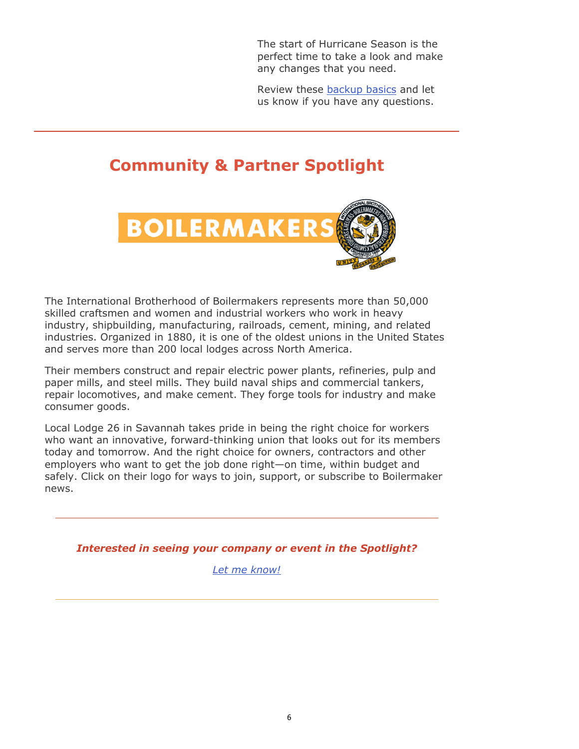The start of Hurricane Season is the perfect time to take a look and make any changes that you need.

Review these [backup basics](https://www.infinityinc.us/backup-basics/) and let us know if you have any questions.

# **Community & Partner Spotlight**



The International Brotherhood of Boilermakers represents more than 50,000 skilled craftsmen and women and industrial workers who work in heavy industry, shipbuilding, manufacturing, railroads, cement, mining, and related industries. Organized in 1880, it is one of the oldest unions in the United States and serves more than 200 local lodges across North America.

Their members construct and repair electric power plants, refineries, pulp and paper mills, and steel mills. They build naval ships and commercial tankers, repair locomotives, and make cement. They forge tools for industry and make consumer goods.

Local Lodge 26 in Savannah takes pride in being the right choice for workers who want an innovative, forward-thinking union that looks out for its members today and tomorrow. And the right choice for owners, contractors and other employers who want to get the job done right—on time, within budget and safely. Click on their logo for ways to join, support, or subscribe to Boilermaker news.

*Interested in seeing your company or event in the Spotlight?*

*Let me know!*